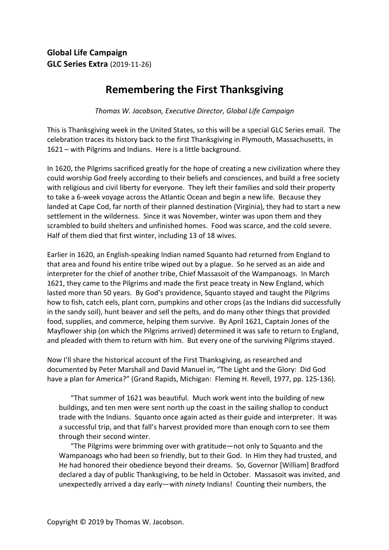## **Remembering the First Thanksgiving**

*Thomas W. Jacobson, Executive Director, Global Life Campaign* 

This is Thanksgiving week in the United States, so this will be a special GLC Series email. The celebration traces its history back to the first Thanksgiving in Plymouth, Massachusetts, in 1621 – with Pilgrims and Indians. Here is a little background.

In 1620, the Pilgrims sacrificed greatly for the hope of creating a new civilization where they could worship God freely according to their beliefs and consciences, and build a free society with religious and civil liberty for everyone. They left their families and sold their property to take a 6-week voyage across the Atlantic Ocean and begin a new life. Because they landed at Cape Cod, far north of their planned destination (Virginia), they had to start a new settlement in the wilderness. Since it was November, winter was upon them and they scrambled to build shelters and unfinished homes. Food was scarce, and the cold severe. Half of them died that first winter, including 13 of 18 wives.

Earlier in 1620, an English-speaking Indian named Squanto had returned from England to that area and found his entire tribe wiped out by a plague. So he served as an aide and interpreter for the chief of another tribe, Chief Massasoit of the Wampanoags. In March 1621, they came to the Pilgrims and made the first peace treaty in New England, which lasted more than 50 years. By God's providence, Squanto stayed and taught the Pilgrims how to fish, catch eels, plant corn, pumpkins and other crops (as the Indians did successfully in the sandy soil), hunt beaver and sell the pelts, and do many other things that provided food, supplies, and commerce, helping them survive. By April 1621, Captain Jones of the Mayflower ship (on which the Pilgrims arrived) determined it was safe to return to England, and pleaded with them to return with him. But every one of the surviving Pilgrims stayed.

Now I'll share the historical account of the First Thanksgiving, as researched and documented by Peter Marshall and David Manuel in, "The Light and the Glory: Did God have a plan for America?" (Grand Rapids, Michigan: Fleming H. Revell, 1977, pp. 125-136).

"That summer of 1621 was beautiful. Much work went into the building of new buildings, and ten men were sent north up the coast in the sailing shallop to conduct trade with the Indians. Squanto once again acted as their guide and interpreter. It was a successful trip, and that fall's harvest provided more than enough corn to see them through their second winter.

"The Pilgrims were brimming over with gratitude—not only to Squanto and the Wampanoags who had been so friendly, but to their God. In Him they had trusted, and He had honored their obedience beyond their dreams. So, Governor [William] Bradford declared a day of public Thanksgiving, to be held in October. Massasoit was invited, and unexpectedly arrived a day early—with *ninety* Indians! Counting their numbers, the